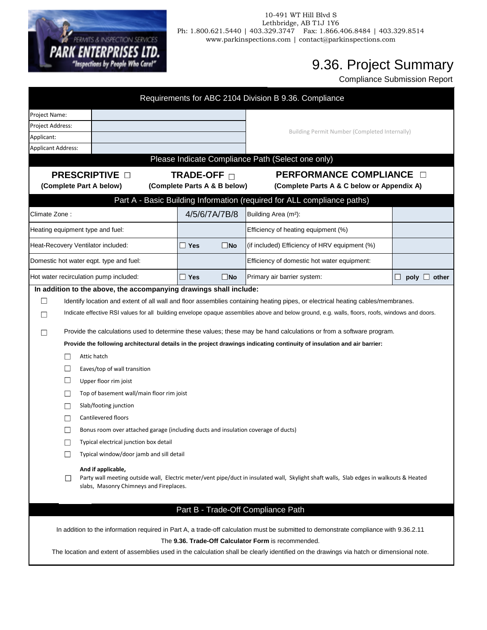

## 10-491 WT Hill Blvd S Lethbridge, AB T1J 1Y6 Ph: 1.800.621.5440 | 403.329.3747 Fax: 1.866.406.8484 | 403.329.8514 www.parkinspections.com | contact@parkinspections.com

## 9.36. Project Summary

Compliance Submission Report

| Requirements for ABC 2104 Division B 9.36. Compliance                                                                                                                                                    |                                                                                                                          |              |                                                                                                                                                                                                                                                                                    |                    |  |  |  |  |  |
|----------------------------------------------------------------------------------------------------------------------------------------------------------------------------------------------------------|--------------------------------------------------------------------------------------------------------------------------|--------------|------------------------------------------------------------------------------------------------------------------------------------------------------------------------------------------------------------------------------------------------------------------------------------|--------------------|--|--|--|--|--|
| Project Name:                                                                                                                                                                                            |                                                                                                                          |              |                                                                                                                                                                                                                                                                                    |                    |  |  |  |  |  |
| Project Address:                                                                                                                                                                                         |                                                                                                                          |              | <b>Building Permit Number (Completed Internally)</b>                                                                                                                                                                                                                               |                    |  |  |  |  |  |
| Applicant:                                                                                                                                                                                               |                                                                                                                          |              |                                                                                                                                                                                                                                                                                    |                    |  |  |  |  |  |
| Applicant Address:                                                                                                                                                                                       |                                                                                                                          |              |                                                                                                                                                                                                                                                                                    |                    |  |  |  |  |  |
|                                                                                                                                                                                                          |                                                                                                                          |              | Please Indicate Compliance Path (Select one only)                                                                                                                                                                                                                                  |                    |  |  |  |  |  |
| <b>PRESCRIPTIVE OF</b>                                                                                                                                                                                   | TRADE-OFF □                                                                                                              |              | <b>PERFORMANCE COMPLIANCE</b>                                                                                                                                                                                                                                                      |                    |  |  |  |  |  |
| (Complete Part A below)                                                                                                                                                                                  | (Complete Parts A & B below)                                                                                             |              | (Complete Parts A & C below or Appendix A)                                                                                                                                                                                                                                         |                    |  |  |  |  |  |
|                                                                                                                                                                                                          |                                                                                                                          |              | Part A - Basic Building Information (required for ALL compliance paths)                                                                                                                                                                                                            |                    |  |  |  |  |  |
| Climate Zone:                                                                                                                                                                                            | 4/5/6/7A/7B/8                                                                                                            |              | Building Area (m <sup>2</sup> ):                                                                                                                                                                                                                                                   |                    |  |  |  |  |  |
| Heating equipment type and fuel:                                                                                                                                                                         |                                                                                                                          |              | Efficiency of heating equipment (%)                                                                                                                                                                                                                                                |                    |  |  |  |  |  |
| Heat-Recovery Ventilator included:                                                                                                                                                                       | $\Box$ Yes                                                                                                               | $\square$ No | (if included) Efficiency of HRV equipment (%)                                                                                                                                                                                                                                      |                    |  |  |  |  |  |
| Domestic hot water eqpt. type and fuel:                                                                                                                                                                  |                                                                                                                          |              | Efficiency of domestic hot water equipment:                                                                                                                                                                                                                                        |                    |  |  |  |  |  |
| Hot water recirculation pump included:                                                                                                                                                                   | $\Box$ Yes                                                                                                               | $\square$ No | Primary air barrier system:                                                                                                                                                                                                                                                        | u<br>other<br>poly |  |  |  |  |  |
| In addition to the above, the accompanying drawings shall include:                                                                                                                                       |                                                                                                                          |              | Identify location and extent of all wall and floor assemblies containing heating pipes, or electrical heating cables/membranes.<br>Indicate effective RSI values for all building envelope opaque assemblies above and below ground, e.g. walls, floors, roofs, windows and doors. |                    |  |  |  |  |  |
| Provide the calculations used to determine these values; these may be hand calculations or from a software program.                                                                                      |                                                                                                                          |              |                                                                                                                                                                                                                                                                                    |                    |  |  |  |  |  |
| Attic hatch                                                                                                                                                                                              | Provide the following architectural details in the project drawings indicating continuity of insulation and air barrier: |              |                                                                                                                                                                                                                                                                                    |                    |  |  |  |  |  |
| Eaves/top of wall transition                                                                                                                                                                             |                                                                                                                          |              |                                                                                                                                                                                                                                                                                    |                    |  |  |  |  |  |
| Upper floor rim joist                                                                                                                                                                                    |                                                                                                                          |              |                                                                                                                                                                                                                                                                                    |                    |  |  |  |  |  |
| Top of basement wall/main floor rim joist                                                                                                                                                                |                                                                                                                          |              |                                                                                                                                                                                                                                                                                    |                    |  |  |  |  |  |
| Slab/footing junction                                                                                                                                                                                    |                                                                                                                          |              |                                                                                                                                                                                                                                                                                    |                    |  |  |  |  |  |
| Cantilevered floors                                                                                                                                                                                      |                                                                                                                          |              |                                                                                                                                                                                                                                                                                    |                    |  |  |  |  |  |
|                                                                                                                                                                                                          | Bonus room over attached garage (including ducts and insulation coverage of ducts)                                       |              |                                                                                                                                                                                                                                                                                    |                    |  |  |  |  |  |
| Typical electrical junction box detail                                                                                                                                                                   |                                                                                                                          |              |                                                                                                                                                                                                                                                                                    |                    |  |  |  |  |  |
| $\mathbf{L}$                                                                                                                                                                                             | Typical window/door jamb and sill detail                                                                                 |              |                                                                                                                                                                                                                                                                                    |                    |  |  |  |  |  |
| And if applicable,<br>Party wall meeting outside wall, Electric meter/vent pipe/duct in insulated wall, Skylight shaft walls, Slab edges in walkouts & Heated<br>slabs, Masonry Chimneys and Fireplaces. |                                                                                                                          |              |                                                                                                                                                                                                                                                                                    |                    |  |  |  |  |  |
|                                                                                                                                                                                                          |                                                                                                                          |              | Part B - Trade-Off Compliance Path                                                                                                                                                                                                                                                 |                    |  |  |  |  |  |
|                                                                                                                                                                                                          |                                                                                                                          |              | In addition to the information required in Part A, a trade-off calculation must be submitted to demonstrate compliance with 9.36.2.11                                                                                                                                              |                    |  |  |  |  |  |
|                                                                                                                                                                                                          |                                                                                                                          |              | The 9.36. Trade-Off Calculator Form is recommended.<br>The location and extent of assemblies used in the calculation shall be clearly identified on the drawings via hatch or dimensional note.                                                                                    |                    |  |  |  |  |  |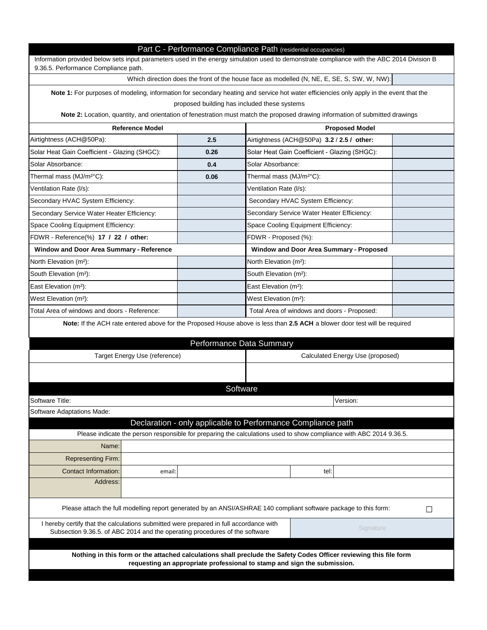|                                                                                                                                                                                                                                      |        |                                   |                                                              | Which direction does the front of the house face as modelled (N, NE, E, SE, S, SW, W, NW):                          |        |  |  |
|--------------------------------------------------------------------------------------------------------------------------------------------------------------------------------------------------------------------------------------|--------|-----------------------------------|--------------------------------------------------------------|---------------------------------------------------------------------------------------------------------------------|--------|--|--|
| Note 1: For purposes of modeling, information for secondary heating and service hot water efficiencies only apply in the event that the                                                                                              |        |                                   |                                                              |                                                                                                                     |        |  |  |
|                                                                                                                                                                                                                                      |        |                                   | proposed building has included these systems                 |                                                                                                                     |        |  |  |
| Note 2: Location, quantity, and orientation of fenestration must match the proposed drawing information of submitted drawings                                                                                                        |        |                                   |                                                              |                                                                                                                     |        |  |  |
| <b>Reference Model</b>                                                                                                                                                                                                               |        |                                   | <b>Proposed Model</b>                                        |                                                                                                                     |        |  |  |
| Airtightness (ACH@50Pa):                                                                                                                                                                                                             |        | 2.5                               | Airtightness (ACH@50Pa) 3.2 / 2.5 / other:                   |                                                                                                                     |        |  |  |
| Solar Heat Gain Coefficient - Glazing (SHGC):                                                                                                                                                                                        |        | 0.26                              |                                                              | Solar Heat Gain Coefficient - Glazing (SHGC):                                                                       |        |  |  |
| Solar Absorbance:                                                                                                                                                                                                                    |        | 0.4                               | Solar Absorbance:                                            |                                                                                                                     |        |  |  |
| Thermal mass (MJ/m <sup>2°</sup> C):                                                                                                                                                                                                 |        | 0.06                              | Thermal mass (MJ/m <sup>2°</sup> C):                         |                                                                                                                     |        |  |  |
| Ventilation Rate (I/s):                                                                                                                                                                                                              |        |                                   | Ventilation Rate (I/s):                                      |                                                                                                                     |        |  |  |
| Secondary HVAC System Efficiency:                                                                                                                                                                                                    |        |                                   | Secondary HVAC System Efficiency:                            |                                                                                                                     |        |  |  |
| Secondary Service Water Heater Efficiency:                                                                                                                                                                                           |        |                                   |                                                              | Secondary Service Water Heater Efficiency:                                                                          |        |  |  |
| Space Cooling Equipment Efficiency:                                                                                                                                                                                                  |        |                                   | Space Cooling Equipment Efficiency:                          |                                                                                                                     |        |  |  |
| FDWR - Reference(%) 17 / 22 / other:                                                                                                                                                                                                 |        | FDWR - Proposed (%):              |                                                              |                                                                                                                     |        |  |  |
| <b>Window and Door Area Summary - Reference</b>                                                                                                                                                                                      |        |                                   |                                                              | <b>Window and Door Area Summary - Proposed</b>                                                                      |        |  |  |
| North Elevation (m <sup>2</sup> ):                                                                                                                                                                                                   |        |                                   | North Elevation (m <sup>2</sup> ):                           |                                                                                                                     |        |  |  |
| South Elevation (m <sup>2</sup> ):                                                                                                                                                                                                   |        |                                   |                                                              |                                                                                                                     |        |  |  |
| East Elevation (m <sup>2</sup> ):                                                                                                                                                                                                    |        | East Elevation (m <sup>2</sup> ): |                                                              |                                                                                                                     |        |  |  |
| West Elevation (m <sup>2</sup> ):                                                                                                                                                                                                    |        | West Elevation (m <sup>2</sup> ): |                                                              |                                                                                                                     |        |  |  |
| Total Area of windows and doors - Reference:                                                                                                                                                                                         |        |                                   | Total Area of windows and doors - Proposed:                  |                                                                                                                     |        |  |  |
|                                                                                                                                                                                                                                      |        |                                   | <b>Performance Data Summary</b>                              |                                                                                                                     |        |  |  |
| Target Energy Use (reference)                                                                                                                                                                                                        |        |                                   |                                                              | Calculated Energy Use (proposed)                                                                                    |        |  |  |
|                                                                                                                                                                                                                                      |        |                                   | Software                                                     |                                                                                                                     |        |  |  |
|                                                                                                                                                                                                                                      |        |                                   |                                                              | Version:                                                                                                            |        |  |  |
|                                                                                                                                                                                                                                      |        |                                   |                                                              |                                                                                                                     |        |  |  |
|                                                                                                                                                                                                                                      |        |                                   | Declaration - only applicable to Performance Compliance path |                                                                                                                     |        |  |  |
| Name:                                                                                                                                                                                                                                |        |                                   |                                                              | Please indicate the person responsible for preparing the calculations used to show compliance with ABC 2014 9.36.5. |        |  |  |
|                                                                                                                                                                                                                                      |        |                                   |                                                              |                                                                                                                     |        |  |  |
| <b>Representing Firm:</b>                                                                                                                                                                                                            |        |                                   |                                                              |                                                                                                                     |        |  |  |
| <b>Contact Information:</b><br>Address:                                                                                                                                                                                              | email: |                                   |                                                              | tel:                                                                                                                |        |  |  |
|                                                                                                                                                                                                                                      |        |                                   |                                                              |                                                                                                                     |        |  |  |
| Please attach the full modelling report generated by an ANSI/ASHRAE 140 compliant software package to this form:                                                                                                                     |        |                                   |                                                              |                                                                                                                     | $\Box$ |  |  |
| <b>Software Title:</b><br><b>Software Adaptations Made:</b><br>I hereby certify that the calculations submitted were prepared in full accordance with<br>Subsection 9.36.5. of ABC 2014 and the operating procedures of the software |        |                                   |                                                              | Signature                                                                                                           |        |  |  |